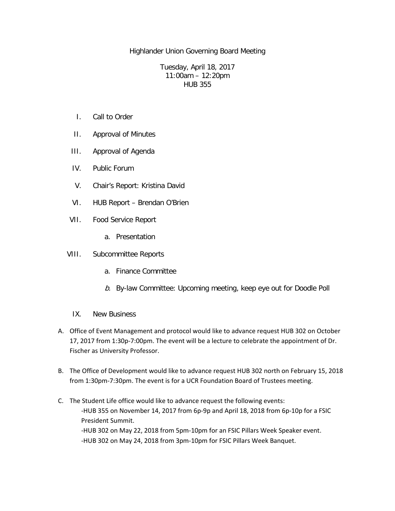Highlander Union Governing Board Meeting

Tuesday, April 18, 2017 11:00am – 12:20pm HUB 355

- I. Call to Order
- II. Approval of Minutes
- III. Approval of Agenda
- IV. Public Forum
- V. Chair's Report: Kristina David
- VI. HUB Report Brendan O'Brien
- VII. Food Service Report
	- a. Presentation
- VIII. Subcommittee Reports
	- a. Finance Committee
	- b. By-law Committee: Upcoming meeting, keep eye out for Doodle Poll
	- IX. New Business
- A. Office of Event Management and protocol would like to advance request HUB 302 on October 17, 2017 from 1:30p-7:00pm. The event will be a lecture to celebrate the appointment of Dr. Fischer as University Professor.
- B. The Office of Development would like to advance request HUB 302 north on February 15, 2018 from 1:30pm-7:30pm. The event is for a UCR Foundation Board of Trustees meeting.
- C. The Student Life office would like to advance request the following events: -HUB 355 on November 14, 2017 from 6p-9p and April 18, 2018 from 6p-10p for a FSIC President Summit. -HUB 302 on May 22, 2018 from 5pm-10pm for an FSIC Pillars Week Speaker event. -HUB 302 on May 24, 2018 from 3pm-10pm for FSIC Pillars Week Banquet.